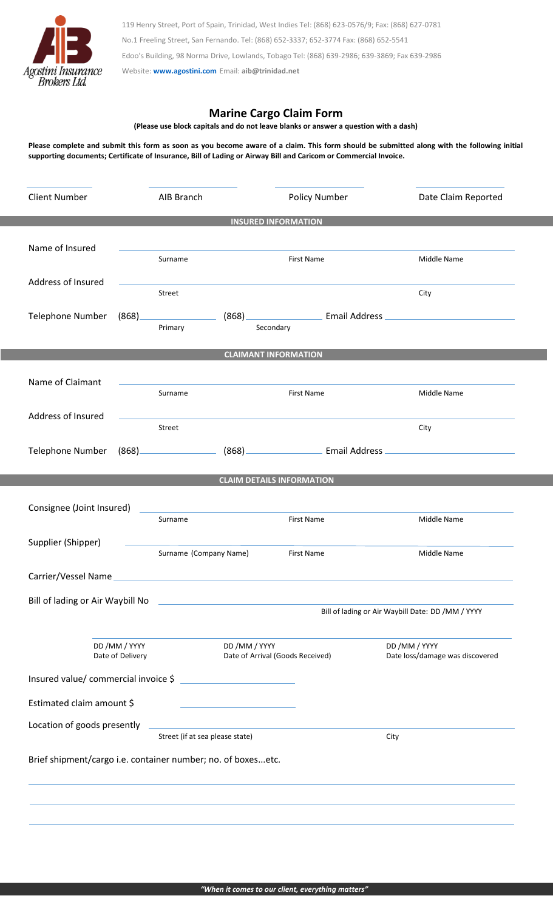

119 Henry Street, Port of Spain, Trinidad, West Indies Tel: (868) 623-0576/9; Fax: (868) 627-0781 No.1 Freeling Street, San Fernando. Tel: (868) 652-3337; 652-3774 Fax: (868) 652-5541 Edoo's Building, 98 Norma Drive, Lowlands, Tobago Tel: (868) 639-2986; 639-3869; Fax 639-2986 Website: **[www.agostini.com](http://www.agostini.com/)** Email: **aib@trinidad.net**

**Marine Cargo Claim Form**

**(Please use block capitals and do not leave blanks or answer a question with a dash)**

**Please complete and submit this form as soon as you become aware of a claim. This form should be submitted along with the following initial supporting documents; Certificate of Insurance, Bill of Lading or Airway Bill and Caricom or Commercial Invoice.**

| <b>Client Number</b>                                                                                                                         |                       | AIB Branch                                                                                                           | Policy Number                                                                                                                                                                                                                        | Date Claim Reported                                                                                            |
|----------------------------------------------------------------------------------------------------------------------------------------------|-----------------------|----------------------------------------------------------------------------------------------------------------------|--------------------------------------------------------------------------------------------------------------------------------------------------------------------------------------------------------------------------------------|----------------------------------------------------------------------------------------------------------------|
|                                                                                                                                              |                       |                                                                                                                      | <b>INSURED INFORMATION</b>                                                                                                                                                                                                           |                                                                                                                |
| Name of Insured                                                                                                                              |                       |                                                                                                                      |                                                                                                                                                                                                                                      |                                                                                                                |
|                                                                                                                                              |                       | Surname                                                                                                              | First Name                                                                                                                                                                                                                           | Middle Name                                                                                                    |
| Address of Insured                                                                                                                           |                       | Street                                                                                                               |                                                                                                                                                                                                                                      | City                                                                                                           |
| Telephone Number                                                                                                                             | $(868)$ <sub>——</sub> |                                                                                                                      |                                                                                                                                                                                                                                      | (868) <b>Email Address Email Address</b>                                                                       |
|                                                                                                                                              |                       | Primary                                                                                                              | Secondary                                                                                                                                                                                                                            |                                                                                                                |
| <b>CLAIMANT INFORMATION</b>                                                                                                                  |                       |                                                                                                                      |                                                                                                                                                                                                                                      |                                                                                                                |
| Name of Claimant                                                                                                                             |                       |                                                                                                                      | <u>and the second control of the second control of the second control of the second control of the second control of the second control of the second control of the second control of the second control of the second control </u> |                                                                                                                |
|                                                                                                                                              |                       | Surname                                                                                                              | First Name                                                                                                                                                                                                                           | Middle Name                                                                                                    |
| Address of Insured                                                                                                                           |                       |                                                                                                                      |                                                                                                                                                                                                                                      |                                                                                                                |
|                                                                                                                                              |                       | Street                                                                                                               |                                                                                                                                                                                                                                      | City                                                                                                           |
| Telephone Number                                                                                                                             |                       |                                                                                                                      |                                                                                                                                                                                                                                      | (868) (868) (868) [2012] [2013] [2013] [2013] [2014] [2014] [2014] [2014] [2014] [2014] [2014] [2014] [2014] [ |
|                                                                                                                                              |                       |                                                                                                                      | <b>CLAIM DETAILS INFORMATION</b>                                                                                                                                                                                                     |                                                                                                                |
|                                                                                                                                              |                       |                                                                                                                      |                                                                                                                                                                                                                                      |                                                                                                                |
| Consignee (Joint Insured)                                                                                                                    |                       | <u> 1980 - Andrea Station, amerikansk politik (d. 1980)</u><br>Surname                                               | First Name                                                                                                                                                                                                                           | Middle Name                                                                                                    |
| Supplier (Shipper)                                                                                                                           |                       |                                                                                                                      |                                                                                                                                                                                                                                      |                                                                                                                |
|                                                                                                                                              |                       | Surname (Company Name)                                                                                               | First Name                                                                                                                                                                                                                           | Middle Name                                                                                                    |
| Carrier/Vessel Name<br><u> 1989 - Johann Harry Harry Harry Harry Harry Harry Harry Harry Harry Harry Harry Harry Harry Harry Harry Harry</u> |                       |                                                                                                                      |                                                                                                                                                                                                                                      |                                                                                                                |
| Bill of lading or Air Waybill No                                                                                                             |                       |                                                                                                                      |                                                                                                                                                                                                                                      |                                                                                                                |
|                                                                                                                                              |                       |                                                                                                                      |                                                                                                                                                                                                                                      | Bill of lading or Air Waybill Date: DD / MM / YYYY                                                             |
| DD /MM / YYYY<br>Date of Delivery                                                                                                            |                       | DD / MM / YYYY                                                                                                       |                                                                                                                                                                                                                                      | DD /MM / YYYY                                                                                                  |
|                                                                                                                                              |                       |                                                                                                                      | Date of Arrival (Goods Received)                                                                                                                                                                                                     | Date loss/damage was discovered                                                                                |
|                                                                                                                                              |                       | Insured value/ commercial invoice \$                                                                                 |                                                                                                                                                                                                                                      |                                                                                                                |
| Estimated claim amount \$                                                                                                                    |                       | the control of the control of the control of the control of                                                          |                                                                                                                                                                                                                                      |                                                                                                                |
| Location of goods presently                                                                                                                  |                       | <u> 1980 - Johann Barn, amerikan bestemannten bestemannten bestemannten bestemannten bestemannten bestemannten b</u> |                                                                                                                                                                                                                                      |                                                                                                                |
| Street (if at sea please state)                                                                                                              |                       |                                                                                                                      |                                                                                                                                                                                                                                      | City                                                                                                           |
|                                                                                                                                              |                       | Brief shipment/cargo i.e. container number; no. of boxesetc.                                                         |                                                                                                                                                                                                                                      |                                                                                                                |
|                                                                                                                                              |                       |                                                                                                                      |                                                                                                                                                                                                                                      |                                                                                                                |
|                                                                                                                                              |                       |                                                                                                                      |                                                                                                                                                                                                                                      |                                                                                                                |

×.